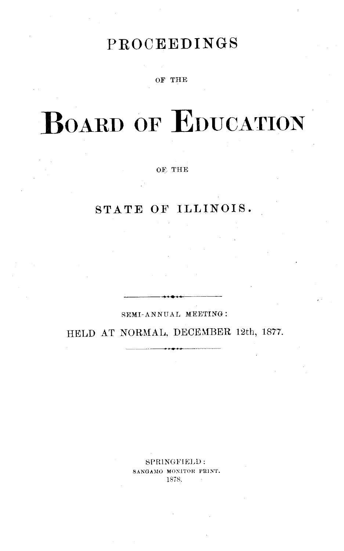# PROCEEDINGS

#### OF **THE**

# **BOARD OF EDUCATION**

OF THE

### **STATE OF** ILLINOIS.

#### SEMI-ANNUAL MEETING:

### HELD AT NORMAL, DECEMBER 12th, 1877.

SPRINGFIELD: SANGAMO MONITOR PRINT. 1878.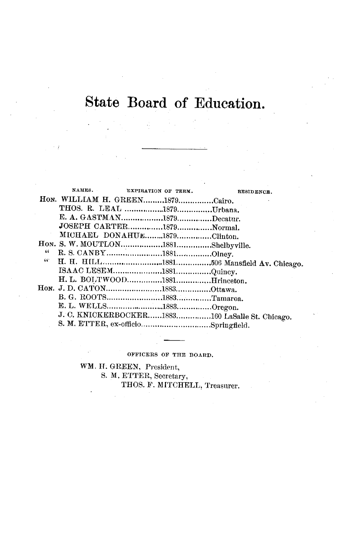# State Board of Education.

|                         | NAMES. | EXPIRATION OF TERM.             | RESIDENCE.                                      |
|-------------------------|--------|---------------------------------|-------------------------------------------------|
|                         |        | Hon. WILLIAM H. GREEN1879Cairo. |                                                 |
|                         |        | THOS. R. LEAL 1879Urbana.       |                                                 |
|                         |        | E. A. GASTMAN1879Decatur.       |                                                 |
|                         |        | JOSEPH CARTER1879Normal.        |                                                 |
|                         |        | MICHAEL DONAHUE1879Clinton.     |                                                 |
|                         |        |                                 | Hon. S. W. MOUTLON1881Shelbyville.              |
| $\overline{\mathbf{G}}$ |        |                                 |                                                 |
| 66.                     |        |                                 |                                                 |
|                         |        | ISAAC LESEM1881Quincy.          |                                                 |
|                         |        |                                 | H. L. BOLTWOOD1881Hrinceton.                    |
|                         |        |                                 |                                                 |
|                         |        |                                 |                                                 |
|                         |        |                                 |                                                 |
|                         |        |                                 | J. C. KNICKERBOCKER1883160 LaSalle St. Chicago. |
|                         |        |                                 | S. M. ETTER, ex-officioSpringfield.             |

OFFICERS OF THE BOARD.

WM. H. GREEN, President, S. M. ETTER, Secretary, THOS. F. MITCHELL. Treasurer.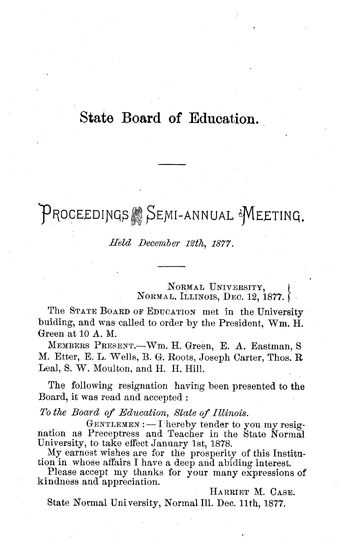# State Board of Education.

# PROCEEDINGS SEMI-ANNUAL MEETING.

*Held December 12th, 1877.*

NORMAL UNIVERSITY, NORMAL, ILLINOIS, DEC. 12, 1877. j

The STATE BOARD OF EDUCATION met in the University buiding, and was called to order by the President, Wm. H. Green at 10 A. M.

MEMBERS PRESENT.--Wm. H. Green, E. A. Eastman, S. M. Etter, E. L. Wells, B. G. Roots, Joseph Carter, Thos. R Leal, S. W. Moulton, and H. H. Hill.

The following resignation having been presented to the Board, it was read and accepted:

*To the Board of Education, State of Illinois.*

 $G$ ENTLEMEN.:  $-$  I hereby tender to you my resignation as Preceptress and Teacher in the State Normal University, to take effect January 1st, 1878.

My earnest wishes are for the prosperity of this Institution in whose affairs I have a deep and abiding interest.

Please accept my thanks for your many expressions of kindness and appreciation.

HARRIET M. CASE.

State Normal University, Normal Ill. Dec. 11th, 1877.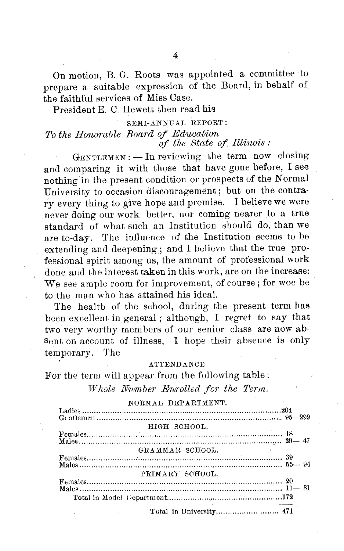On motion, B. G. Roots was appointed a committee to prepare a suitable expression of the Board, in behalf of the faithful services of Miss Case.

President E. C. Hewett then read his

#### SEMI-ANNUAL **REPORT:** *To the Honorable Board of Education of the State of Illinois:*

 $G$ ENTLEMEN:  $\frac{1}{\sqrt{2}}$  In reviewing the term now closing and comparing it with those that have gone before, I see nothing in the present condition or prospects of the Normal University to occasion discouragement; but **on** the contrary every thing to give hope and promise. I believe we were never doing our work better, nor coming nearer to a true standard of what such an Institution should do, than we are to-day. The influence of the Institution seems to be extending and deepening; and I believe that the true professional spirit among us, the amount of professional work done and the interest taken in this work, are on the increase: We see ample room for improvement, of course; for woe be to the man who has attained his ideal.

The health of the school, during the present term has been excellent in general; although, I regret to say that two very worthy members of our senior class are now ab-Sent on account of illness, I hope their absence is only temporary. The

#### **ATTENDANCE**

For the term will appear from the following table:

*Whole Number Enrolled for the Term.*

| NUKMAL DEPAKIMENT. |  |
|--------------------|--|
|                    |  |
|                    |  |
| ниен коноот.       |  |
|                    |  |
|                    |  |
| GRAMMAR SCHOOL.    |  |
|                    |  |
|                    |  |
| PRIMARY SCHOOL.    |  |
|                    |  |
|                    |  |
|                    |  |
|                    |  |

NORMAL DEPARTMENT.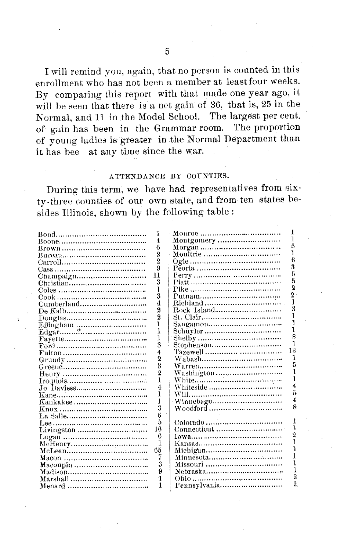I will remind you, again, that no person is counted in this enrollment who has not been a member at least four weeks. By comparing this report with that made one year ago, it will be seen that there is a net gain of 36, that is, 25 in the Normal, and 11 in the Model School. The largest per cent. The proportion of gain has been in the Grammar room. of young ladies is greater in the Normal Department than it has bee at any time since the war.

#### ATTENDANCE BY COUNTIES.

During this term, we have had representatives from sixty-three counties of our own state, and from ten states besides Illinois, shown by the following table:

|            | ı                     |              | ı              |
|------------|-----------------------|--------------|----------------|
|            | 4                     | Montgomery   | 1              |
|            | 6                     |              | 5              |
|            | $\overline{2}$        | Moultrie     |                |
|            | $\overline{2}$        |              | 6              |
|            | 9                     |              | 3              |
| Champaign  | 11                    |              | 5              |
| Christian  | 3                     |              | 5              |
|            | 1                     |              | $\bf{r}$       |
|            | 3                     | Putnam       | $\overline{2}$ |
|            | 4                     |              | Ĩ              |
|            | $\overline{2}$        | Rock Island  | Ż              |
|            | $\overline{2}$        |              |                |
|            | ı                     |              | ٦              |
|            | ı                     |              | 1              |
|            | I                     |              | 8              |
|            | 3                     | Stephenson   |                |
|            | 4                     |              | 13             |
|            | $\overline{2}$        |              |                |
|            | 3                     |              | ñ              |
|            | $\overline{2}$        |              |                |
|            | 1                     |              |                |
|            | 4                     | Whiteside    | 4              |
|            | 1                     |              | 5              |
|            | 1                     | Winnebago    | 4              |
|            | 3                     | Woodford     | 8              |
|            | 6                     |              |                |
|            | $\overline{\partial}$ | Colorado     | ٦              |
| Livingston | 16                    | Connecticut  | 1              |
|            | в                     |              | $\overline{2}$ |
|            | Ĩ                     |              |                |
|            | 65                    | Michigan     |                |
|            | 7                     | Minnesota    |                |
|            | 3                     | Missouri     |                |
|            | 9                     | Nebraska     |                |
| Marshall   | 1                     |              | 2              |
|            | ĩ                     | Pennsylvania | 2              |
|            |                       |              |                |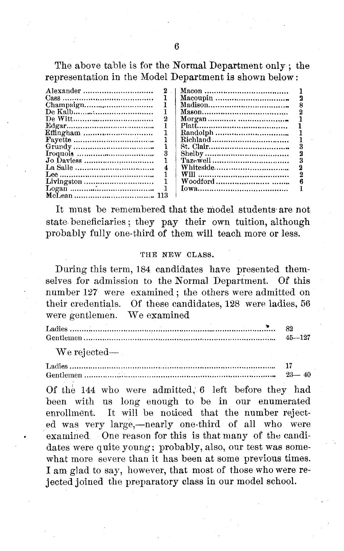The above table is for the Normal Department only; the representation in the Model Department is shown below:

| Alexander  |   |          |  |
|------------|---|----------|--|
|            |   |          |  |
|            |   |          |  |
|            |   |          |  |
|            |   |          |  |
|            |   |          |  |
|            |   |          |  |
|            |   |          |  |
|            |   |          |  |
|            | 3 |          |  |
|            |   | Tazewell |  |
|            |   |          |  |
|            |   |          |  |
| Livingston |   |          |  |
|            |   |          |  |
|            |   |          |  |

It must be remembered that the model students are not state beneficiaries; they pay their own tuition, although probably fully one-third of them will teach more or less.

#### **THE NEW CLASS.**

During this term, 184 candidates have presented themselves for admission to the Normal Department. Of this number 127 were examined; the others were admitted on their credentials. Of these candidates, 128 were ladies, 56 were gentlemen. We examined

L adies .................................... ...... ... 828......................................... G entlem **en** ................................................................................... 45- 127

We rejected-

L adies ......................................................................................... **17** G entlem en ................................................................................... **23-** 40

Of the 144 who were admitted, 6 left before they had been with us long enough to be in our enumerated enrollment. It will be noticed that the number rejected was very large,—nearly one-third of all who were examined One reason for this is that many of the candidates were quite young; probably, also, our test was somewhat more severe than it has been at some previous times. I am glad to say, however, that most of those who were rejected joined the preparatory class in our model school.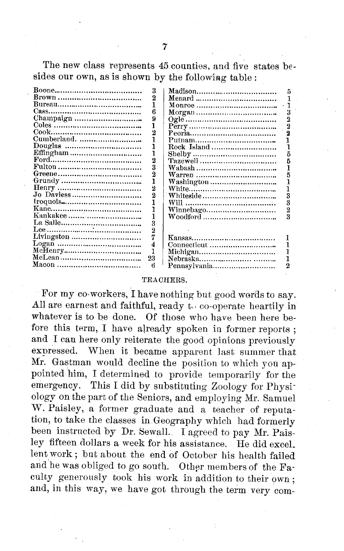The new class represents 45 counties, and five states besides our own, as is shown by the following table:

| Douglas<br>Jo Daviess | 3<br>2<br>6<br>9<br>ı<br>$\overline{2}$<br>3<br>$\overline{2}$<br>l<br>2<br>2<br>3 | Rock Island<br>Whiteside<br>Winnebago | Б<br>3<br>$\overline{2}$<br>$\overline{2}$<br>2<br>ភ<br>5<br>3<br>3<br>$\overline{2}$<br>3 |
|-----------------------|------------------------------------------------------------------------------------|---------------------------------------|--------------------------------------------------------------------------------------------|
|                       | $\overline{2}$<br>7<br>4<br>ı<br>23<br>в                                           | Nebraska<br>Pennsylvania              | $\overline{\bf 2}$                                                                         |

#### **TEACHERS.**

For my co-workers, I have nothing but good words to say. All are earnest and faithful, ready to co-operate heartily in whatever is to be done. Of those who have been here before this term, I have already spoken in former reports; and I can here only reiterate the good opinions previously expressed. When it became apparent last summer that Mr. Gastman would decline the position to which you appointed him, I determined to provide temporarily for the emergency. This I did by substituting Zoology for Physiology on the part of the Seniors, and employing Mr. Samuel W. Paisley, a former graduate and a teacher of reputation, to take the classes in Geography which had formerly been instructed by Dr. Sewall. I agreed to pay Mr. Paisley fifteen dollars a week for his assistance. He did excel\_ lent work; but about the end of October his health failed and he was obliged to go south. Other members of the Faculty generously took his work in addition to their own; and, in this way, we have got through the term very com-

7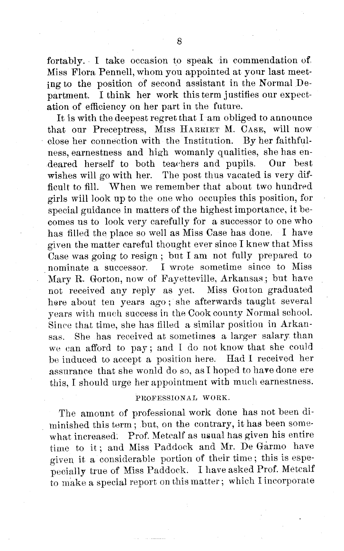fortably. I take occasion to speak in commendation of, Miss Flora, Pennell, whom you appointed at your last meeting to the position of second assistant in the Normal Department. I think her work this term justifies our expectation of efficiency on her part in the future.

It is with the deepest regret that I am obliged to announce that our Preceptress, Miss HARRIET M. CASE, will now close her connection with the Institution. By her faithfulness, earnestness and high womanly qualities, she has endeared herself to both teachers and pupils. Our best wishes will go with her. The post thus vacated is very difficult to fill. When we remember that about two hundred girls will look up to the one who occupies this position, for special guidance in matters of the highest importance, it becomes us to look very carefully for a successor to one who has filled the place so well as Miss Case has done. I have given the matter careful thought ever since I knew that Miss Case was going to resign; but I am not fully prepared to nominate a successor. I wrote sometime since to Miss Mary R. Gorton, now of Fayetteville, Arkansas; but have not received any reply as yet. Miss Gorton graduated here about ten years ago; she afterwards taught several years with much success in the Cook county Normal school. Since that time, she has filled a similar position in Arkansas. She has received at sometimes a larger salary than we can afford to pay; and I do not know that she could be induced to accept a position here. Had I received her assurance that she wonld do so, as I hoped to have done ere this, I should urge her appointment with much earnestness.

#### PROFESSIONAL **WORK.**

The amount of professional work done has not been diminished this term; but, on the contrary, it has been somewhat increased. Prof. Metcalf as usual has given his entire time to it; and Miss Paddock and Mr. De Garmo have given it a considerable portion of their time; this is espepecially true of Miss Paddock. I have asked Prof. Metcalf to make a special report on this matter; which I incorporate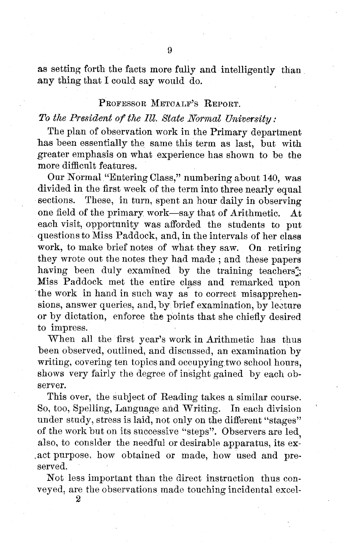as setting forth the facts more fully and intelligently than any thing that I could say would do.

#### PROFESSOR METCALF'S REPORT.

#### *To the President of the I11. State Normal University:*

The plan of observation work in the Primary department has been essentially the same this term as last, but with greater emphasis on what experience has shown to be the more difficult features.

Our Normal "Entering Class," numbering about 140, was divided in the first week of the term into three nearly equal sections. These, in turn, spent an hour daily in observing one field of the primary work-say that of Arithmetic. At each visit, opportunity was afforded the students to put questions to Miss Paddock, and, in the intervals of her class work, to make brief notes of what they saw. On retiring they wrote out the notes they had made ; and these papers having been duly examined by the training teachers<sup>"</sup>; Miss Paddock met the entire class and remarked upon the work in hand in such way as to correct misapprehensions, answer queries, and, by brief examination, by lecture or by dictation, enforce the points that she chiefly desired to impress.

When all the first year's work in Arithmetic has thus been observed, outlined, and discussed, an examination by writing, covering ten topics and occupying two school hours. shows very fairly the degree of insight gained by each observer.

This over, the subject of Reading takes a similar course. So, too, Spelling, Language and Writing. In each division under study, stress is laid, not only on the different "stages" of the work but on its successive "steps". Observers are led also, to consider the needful or desirable apparatus, its exact purpose, how obtained or made, how used and preserved.

Not less important than the direct instruction thus conveyed, are the observations made touching incidental excel-

9

2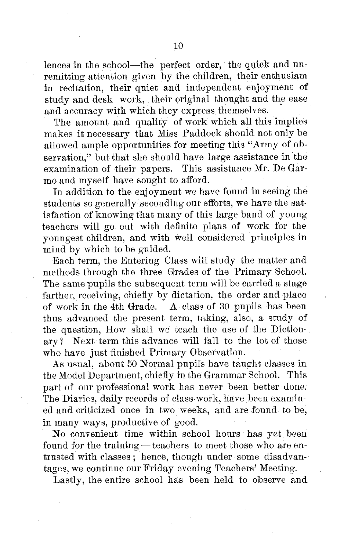lences in the school-the perfect order, the quick and unremitting attention given by the children, their enthusiam in recitation, their quiet and independent enjoyment of study and desk work, their original thought and the ease and accuracy with which they express themselves.

The amount and quality of work which all this implies makes it necessary that Miss Paddock should not only be allowed ample opportunities for meeting this "Army of observation," but that she should have large assistance in the examination of their papers. This assistance Mr. De Garmo and myself have sought to afford.

In addition to the enjoyment we have found in seeing the students so generally seconding our efforts, we have the satisfaction of knowing that many of this large band of young teachers will go out with definite plans of work for the youngest children, and with well considered principles in mind by which to be guided.

Each term, the Entering Class will study the matter and methods through the three Grades of the Primary School. The same pupils the subsequent term will be carried a stage farther, receiving, chiefly by dictation, the order and place of work in the 4th Grade. A class of 30 pupils has been thus advanced the present term, taking, also, a study of the question, How shall we teach the use of the Dictionary? Next term this advance will fall to the lot of those who have just finished Primary Observation.

As usual, about 50 Normal pupils have taught classes in the Model Department, chiefly in the Grammar School. This part of our professional work has never been better done. The Diaries, daily records of class-work, have been examined and criticized once in two weeks, and are found to be, in many ways, productive of good.

No convenient time within school hours has yet been found for the training - teachers to meet those who are entrusted with classes; hence, though under some disadvantages, we continue our Friday evening Teachers' Meeting.

Lastly, the entire school has been held to observe and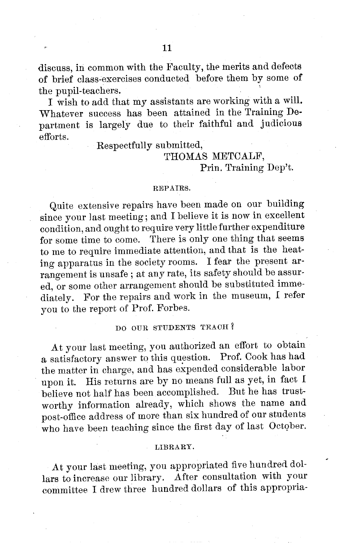discuss, in common with the Faculty, the merits and defects of brief class-exercises conducted before them by some of the pupil-teachers.

I wish to add that my assistants are working with a will. Whatever success has been attained in the Training Department is largely due to their faithful and judicious efforts.

Respectfully submitted,

#### THOMAS METCALF,

Prin. Training Dep't.

#### REPAIRS.

Quite extensive repairs have been made on our building since your last meeting; and I believe it is now in excellent condition, and ought to require very little further expenditure for some time to come. There is only one thing that seems to me to require immediate attention, and that is the heating apparatus in the society rooms. I fear the present arrangement is unsafe; at any rate, its safety should be assured, or some other arrangement should be substituted immediately. For the repairs and work in the museum, I refer For the repairs and work in the museum, I refer you to the report of Prof. Forbes.

#### **DO OUR** STUDENTS **TEACH?**

At your last meeting, you authorized an effort to obtain a satisfactory answer to this question. Prof. Cook has had the matter in charge, and has expended considerable labor upon it. His returns are by no means full as yet, in fact I believe not half has been accomplished. But he has trustworthy information already, which shows the name and post-office address of more than six hundred of our students who have been teaching since the first day of last October.

#### LIBRARY.

At your last meeting, you appropriated five hundred dollars to increase our library. After consultation with your committee I drew three hundred dollars of this appropria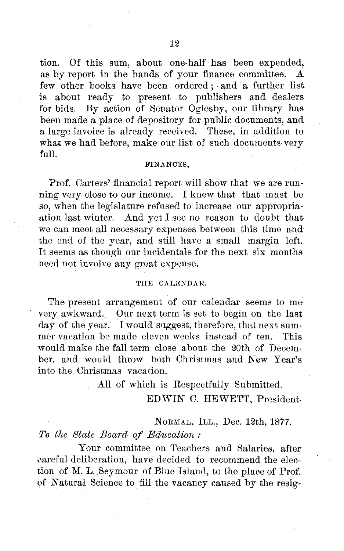tion. Of this sum, about one-half has been expended, as by report in the hands of your finance committee. A few other books have been ordered; and a further list is about ready to present to publishers and dealers for bids. By action of Senator Oglesby, our library has been made a place of depository for public documents, and a large invoice is already received. These, in addition to what we had before, make our list of such documents very full.

#### FINANCES,

Prof. Carters' financial report will show that we are running very close to our income. I knew that that must be so, when the legislature refused to increase our appropriaation last winter. And yet I see no reason to doubt that we can meet all necessary expenses between this time and the end of the year, and still have a small margin left. It seems as though our incidentals for the next six months need not involve any great expense.

#### **THE** CALENDAR.

The present arrangement of our calendar seems to me very awkward. Our next term is set to begin on the last day of the year. I would suggest, therefore, that next summer vacation be made eleven weeks instead of ten. This would make the fall term close about the 20th of December, and would throw both Christmas and New Year's into the Christmas vacation.

All of which is Respectfully Submitted.

EDWIN C. HEWETT, President.

**NORMAL,** ILL.. Dec. 12th, 1877.

#### *To the State Board of Education:*

Your committee on Teachers and Salaries, after careful deliberation, have decided to recommend the election of M. L. Seymour of Blue Island, to the place of Prof. of Natural Science to fill the vacancy caused by the resig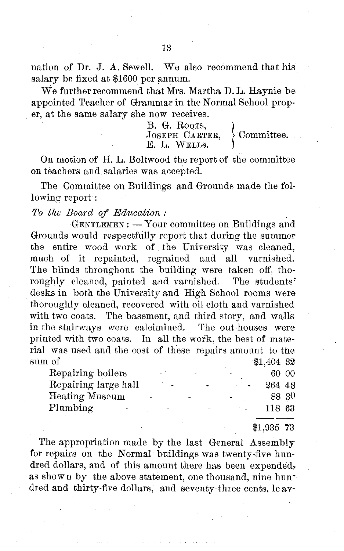nation of Dr. J. A. Sewell. We also recommend that his salary be fixed at \$1600 per annum.

We further recommend that Mrs. Martha D. L. Haynie be appointed Teacher of Grammar in the Normal School proper, at the same salary she now receives.

> B. G. ROOTS,  $\mathrm{Joseph\_CARTER}, \rightarrow \mathrm{Committee}.$ E. L. WELLS.

On motion of H. L. Boltwood the report of the committee on teachers and salaries was accepted.

The Committee on Buildings and Grounds made the following report:

*To the Board of Education:*

 $G$ ENTLEMEN :  $-$  Your committee on Buildings and Grounds would respectfully report that during the summer the entire wood work of the University was cleaned, much of it repainted, regrained and all varnished. The blinds throughout the building were taken off, thoroughly cleaned, painted and varnished. The students' desks in both the University and High School rooms were thoroughly cleaned, recovered with oil cloth and varnished with two coats. The basement, and third story, and walls in the stairways were calcimined. The out-houses were printed with two coats. In all the work, the best of material was used and the cost of these repairs amount to the  $\text{sum of }$  \$1,404 32

| Repairing boilers    | $\overline{\phantom{0}}$ | - | 60 00  |
|----------------------|--------------------------|---|--------|
| Repairing large hall |                          |   | 264 48 |
| Heating Museum       |                          |   | 88 30  |
| Plumbing<br>-        |                          |   | 118 63 |
|                      |                          |   |        |

#### \$1,935 73

The appropriation made by the last General Assembly for repairs on the Normal buildings was twenty-five hundred dollars, and of this amount there has been expended, as shown by the above statement, one thousand, nine hundred and thirty-five dollars, and seventy-three cents, leav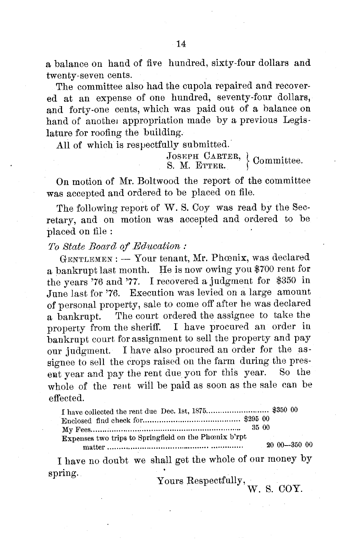a balance on hand of five hundred, sixty-four dollars and twenty-seven cents.

The committee also had the cupola repaired and recovered at an expense of one hundred, seventy-four dollars, and forty-one cents, which was paid out of a balance on hand of another appropriation made by a previous Legislature for roofing the building.

All of which is respectfully submitted.

JOSEPH CARTER, ) S. M. ETTER.  $\int$  Committee.

On motion of Mr. Boltwood the report of the committee was accepted and ordered to be placed on file.

The following report of W. S. Coy was read by the Secretary, and on motion was accepted and ordered to be placed on file:

#### *To State Board of Education*

GENTLEMEN: - Your tenant, Mr. Phoenix, was declared a bankrupt last month. He is now owing you \$700 rent for the years '76 and '77. I recovered a judgment for \$350 in June last for '76. Execution was levied on a large amount of personal property, sale to come off after he was declared The court ordered the assignee to take the property from the sheriff. I have procured an order in bankrupt court for assignment to sell the property and pay our judgment. I have also procured an order for the assignee to sell the crops raised on the farm during the pres-<br>ent year and pay the rent due you for this year. So the ent year and pay the rent due you for this year. whole of the rent will be paid as soon as the sale can be effected.

|                                                        | -35-00 |  |                        |  |
|--------------------------------------------------------|--------|--|------------------------|--|
| Expenses two trips to Springfield on the Phoenix b'rpt |        |  | and the company of the |  |
|                                                        |        |  | $200 - 3500$           |  |

I have no doubt we shall get the whole of our money by  $\dot{Y}_{\text{ours}}$  Respectfully

Yours Respectfully,  $_{\rm W.~S.~COY.}$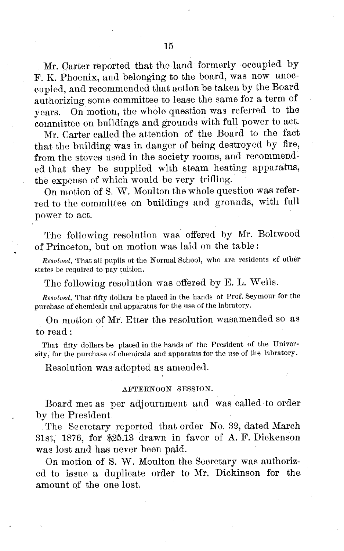Mr. Carter reported that the land formerly occupied by F. K. Phoenix, and belonging to the board, was now unoccupied, and recommended that action be taken by the Board authorizing some committee to lease the same for a term of years. On motion, the whole question was referred to the committee on buildings and grounds with full power to act.

Mr. Carter called the attention of the Board to the fact that the building was in danger of being destroyed by fire, from the stoves used in the society rooms, and recommended that they be supplied with steam heating apparatus, the expense of which would be very trifling.

On motion of S. W. Moulton the whole question was referred to the committee on buildings and grounds, with full power to act.

The following resolution was offered by Mr. Boltwood of Princeton, but on motion was laid on the table:

*Resolved,* That all pupils of the Normal School, who are residents of other states be required to pay tuition.

The following resolution was offered by E. L. Wells.

*Resolved, That fifty dollars te placed in the hands of Prof. Seymour for the* purchase of chemicals and apparatus for the use of the labratory.

On motion of Mr. Etter the resolution wasamended so as to read:

That fifty dollars be placed in the hands of the President of the University, for the purchase of chemicals and apparatus for the use of the labratory.

Resolution was adopted as amended.

#### AFTERNOON SESSION.

Board met as per adjournment and was called to order by the President

The Secretary reported that order No. 32, dated March 31st, 1876, for \$25.13 drawn in favor of A. F. Dickenson was lost and has never been paid.

On motion of S. W. Moulton the Secretary was authorized to issue a duplicate order to Mr. Dickinson for the amount of the one lost.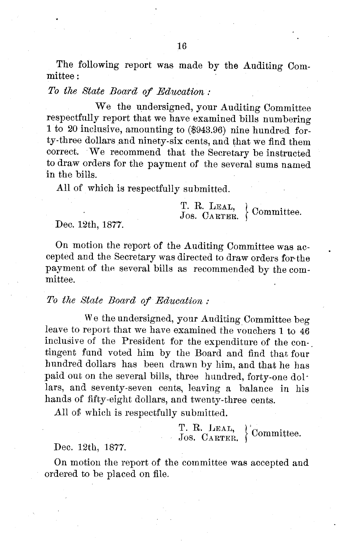The following report was made by the Auditing Committee:

#### *To the State Board of Education:*

We the undersigned, your Auditing Committee respectfully report that we have examined bills numbering 1 to 20 inclusive, amounting to (\$943.96) nine hundred forty-three dollars and ninety-six cents, and that we find them correct. We recommend that the Secretary be instructed to draw orders for the payment of the several sums named in the bills.

All of which is respectfully submitted.

T. R. LEAL,  $\int$  Committee. Jos. **CARTER.**

#### Dec. 12th, 1877.

On motion the report of the Auditing Committee was accepted and the Secretary was directed to draw orders for the payment of the several bills as recommended by the committee.

#### *To the State Board of Education:*

We the undersigned, your Auditing Committee beg leave to report that we have examined the vouchers 1 to 46 inclusive of the President for the expenditure of the contingent fund voted him by the Board and find that four hundred dollars has been drawn by him, and that he has paid out on the several bills, three hundred, forty-one dollars, and seventy-seven cents, leaving a balance in his hands of fifty-eight dollars, and twenty-three cents.

All of which is respectfully submitted.

T. R. LEAL,  $\gamma$ Jos. CARTER.  $\int$  Committee.

#### Dec. 12th, 1877.

On motion the report of the committee was accepted and ordered to be placed on file.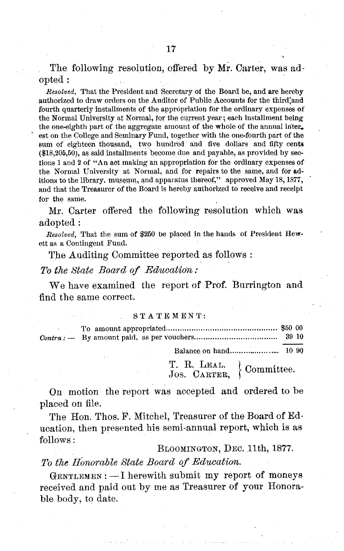The following resolution, offered by Mr. Carter, was adopted:

*Resolved,* That the President and Secretary of the Board be, and are hereby authorized to draw orders on the Auditor of Public Accounts for the third, and fourth quarterly installments of the appropriation for the ordinary expenses of the Normal University at Normal, for the current year; each installment being the one-eighth part of the aggregate amount of the whole of the annual inter. est on the College and Seminary Fund, together with the one-fourth part of the sum of eighteen thousand, two hundred and five dollars and fifty cents (\$18,205,50), as said installments become due and payable, as provided by sections 1 and 2 of "An act making an appropriation for the ordinary expenses of the Normal University at Normal, and for repairs to the same, and for aditions to the library. museum, and apparatus thereof," approved May 18, 1877, and that the Treasurer of the Board is hereby authorized to receive and receipt for the same.

Mr. Carter offered the following resolution which was adopted:

*Resolved,* That the sum of \$250 te placed in the hands of President Hewett as a Contingent Fund.

The Auditing Committee reported as follows:

*To the State Board of Education:*

We have examined the report of Prof. Burrington and find the same correct.

#### ST ATEMENT:

 $\left\{\begin{array}{c}\text{T. R. LEAL.} \text{Jos. CARTER,}\end{array}\right\} \text{ Committee}.$ 

On motion the report was accepted and ordered to be placed on file.

The Hon. Thos. F. Mitchel, Treasurer of the Board of Education, then presented his semi-annual report, which is as follows:

BLOOMINGTON, DEC. 11th, 1877.

#### *To the Honorable State Board of Education.*

 $G$ ENTLEMEN:  $\overline{-1}$  herewith submit my report of moneys received and paid out by me as Treasurer of your Honorable body, to date.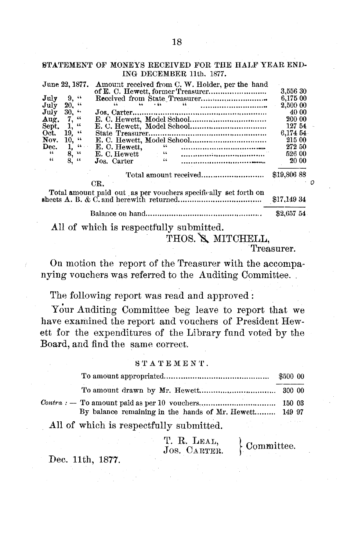#### STATEMENT OF MONEYS RECEIVED FOR THE HALF YEAR END-ING DECEMBER 11th. 1877.

|       |                        | Total amount paid out as per vouchers specifically set forth on | \$17,149 34 |  |
|-------|------------------------|-----------------------------------------------------------------|-------------|--|
|       |                        | CR.                                                             | \$19,806 88 |  |
| 44    |                        | 44<br>Jos. Carter                                               | 20 00       |  |
| 66    | $\frac{8}{8}$ . "      | $\sim -44$<br>E. C. Hewett                                      | 526 00      |  |
| Dec.  | $66 -$<br>1.           | E. C. Hewett.                                                   | 272.50      |  |
| Nov.  | $10.$ "                |                                                                 | 215 00      |  |
| Oct.  | $19.$ $\cdot$          |                                                                 | 6,174 54    |  |
| Sept. | 1, "                   |                                                                 | 127 54      |  |
| Aug.  | 7, 4                   |                                                                 | 200 00      |  |
| July  | $30.$ $\cdot$          |                                                                 | 40.00       |  |
| July  | $20.$ "                | $-46$<br>66.<br>44<br>66                                        | 2,500 00    |  |
| July  | $9,$ $^{\prime\prime}$ |                                                                 | 6,175 00    |  |
|       |                        |                                                                 | 3,556 30    |  |
|       | June 22, 1877.         | Amount received from C. W. Holder, per the hand                 |             |  |

Balance on hand.................................................. \$2,657 54

All of which is respectfully submitted.

THOS. N MITCHELL.

Treasurer.

On motion the report of the Treasurer with the accompanying vouchers was referred to the Auditing Committee.

The following report was read and approved:

Your Auditing Committee beg leave to report that we have examined the report and vouchers of President Hewett for the expenditures of the Library fund voted by the Board, and find the same correct.

#### $ST A T E M E N T$ .

|                                                        | \$500 00 |  |
|--------------------------------------------------------|----------|--|
|                                                        |          |  |
| By balance remaining in the hands of Mr. Hewett 149 97 |          |  |
| All of which is respectfully submitted.                |          |  |

| T. R. LEAL,<br>JOS. CARTER. | Committee. |
|-----------------------------|------------|
|-----------------------------|------------|

Dec. 11th, **1877.**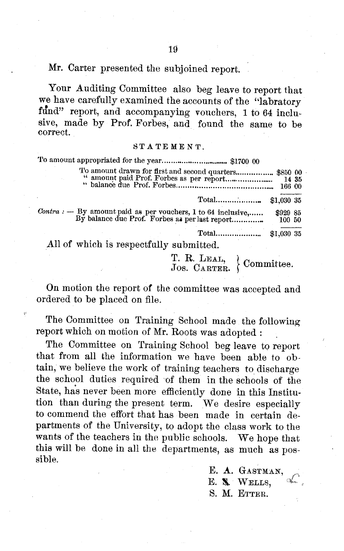#### Mr. Carter presented the subjoined report.

Your Auditing Committee also beg leave to report that we have carefully examined the accounts of the "labratory fund" report, and accompanying vouchers, 1 to 64 inclusive, made by Prof. Forbes, and found the same to be correct.

#### STATEMENT.

## To amount appropriated for the year.................... \$1700 00 To amount drawn for first and second quarters................. \$850 00 " amount paid Prof. Forbes as per report...................... 14 35 ' balance due Prof. Forbes..........................1.............. 166 00 Total.................. \$1,030 35 *Contra:* -- By amount paid as per vouchers, 1 to 64 inclusive,...... \$929 85<br>By balance due Prof. Forbes as per last report............... 100 50 By balance due Prof. Forbes as per last report............... Total................... \$1,030 35

All of which is respectfully submitted.

T. R. LEAL,  $\overline{C}$ Jos. CARTER. SCOMMITTE

On motion the report of the committee was accepted and ordered to be placed on file.

The Committee on Training School made the following report which on motion of Mr. Roots was adopted:

The Committee on Training School beg leave to report that from all the information we have been able to obtain, we believe the work of training teachers to discharge the school duties required of them in the schools of the State, has never been more efficiently done in this Institution than during the present term. We desire especially to commend the effort that has been made in certain departments of the University, to adopt the class work to the wants of the teachers in the public schools. We hope that this will be done in all the departments, as much as possible.

> E. A. GASTMAN, Ø. E. S. WELLS, S. M. ETTER.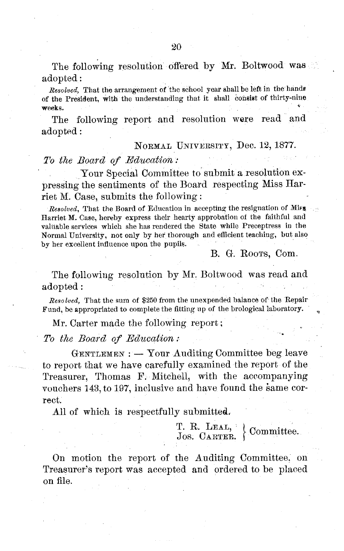*Resolved,* That the arrangement of the school year shall be left in the hands of the President, with the understanding that it shall consist of thirty-nine weeks.

The following report and resolution were read and adopted:

NORMAL UNIVERSITY, Dec. 12, 1877.

#### *To the Board of Education:*

Your Special Committee to submit a resolution expressing the sentiments of the Board respecting Miss Harriet M. Case, submits the following:

*Resolved.* That the Board of Education in accepting the resignation of Mirs Harriet M. Case, hereby express their hearty approbation of the faithful and valtiable services which she has rendered the State while Preceptress in the Normal University, not only by her thorough and efficient teaching, but also by her excellent influence upon the pupils.

B. G. Roots, Com.

The following resolution by Mr. Boltwood was read and adopted:

*Resolved,* That the sum of \$250 from the unexpended balance of the Repair Fund, be appropriated to complete the fitting up of the brological laboratory.

Mr. Carter made the following report;

*To the Board of Education:*

 $G$ ENTLEMEN :  $-$  Your Auditing Committee beg leave to report that we have carefully examined the report of the Treasurer, Thomas F. Mitchell, with the accompanying vouchers 143, to 197, inclusive and have found the same correct.

All of which is respectfully submitted.

T. R. LEAL,  $\overline{C}$ Jos. CARTER.  $\big\}$ Committee.

On motion the report of the Auditing Committee. on Treasurer's report was accepted and ordered to be placed on file.